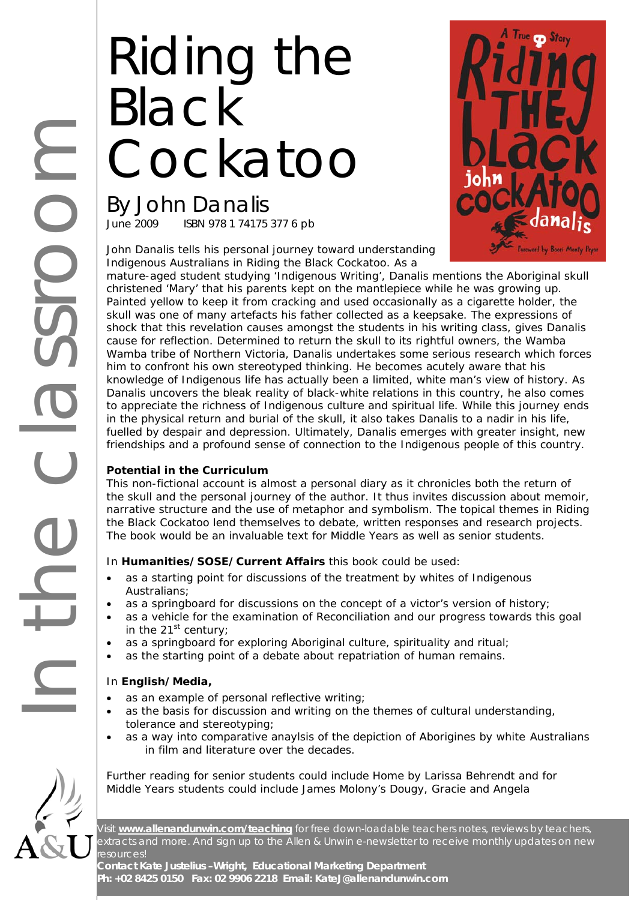# Riding the Black **Cockatoo**

By John Danalis<br>June 2009 ISBN 978 1 74175 ISBN 978 1 74175 377 6 pb





mature-aged student studying 'Indigenous Writing', Danalis mentions the Aboriginal skull christened 'Mary' that his parents kept on the mantlepiece while he was growing up. Painted yellow to keep it from cracking and used occasionally as a cigarette holder, the skull was one of many artefacts his father collected as a keepsake. The expressions of shock that this revelation causes amongst the students in his writing class, gives Danalis cause for reflection. Determined to return the skull to its rightful owners, the Wamba Wamba tribe of Northern Victoria, Danalis undertakes some serious research which forces him to confront his own stereotyped thinking. He becomes acutely aware that his knowledge of Indigenous life has actually been a limited, white man's view of history. As Danalis uncovers the bleak reality of black-white relations in this country, he also comes to appreciate the richness of Indigenous culture and spiritual life. While this journey ends in the physical return and burial of the skull, it also takes Danalis to a nadir in his life, fuelled by despair and depression. Ultimately, Danalis emerges with greater insight, new friendships and a profound sense of connection to the Indigenous people of this country.

#### **Potential in the Curriculum**

This non-fictional account is almost a personal diary as it chronicles both the return of the skull and the personal journey of the author. It thus invites discussion about memoir, narrative structure and the use of metaphor and symbolism. The topical themes in *Riding the Black Cockatoo* lend themselves to debate, written responses and research projects. The book would be an invaluable text for Middle Years as well as senior students.

#### In **Humanities/SOSE/Current Affairs** this book could be used:

- as a starting point for discussions of the treatment by whites of Indigenous Australians;
- as a springboard for discussions on the concept of a victor's version of history;
- as a vehicle for the examination of Reconciliation and our progress towards this goal in the  $21^{st}$  century;
- as a springboard for exploring Aboriginal culture, spirituality and ritual;
- as the starting point of a debate about repatriation of human remains.

#### In **English/Media,**

- as an example of personal reflective writing;
- as the basis for discussion and writing on the themes of cultural understanding, tolerance and stereotyping;
- as a way into comparative anaylsis of the depiction of Aborigines by white Australians in film and literature over the decades.

Further reading for senior students could include *Home* by Larissa Behrendt and for Middle Years students could include James Molony's *Dougy*, *Gracie* and *Angela*

Visit **www.allenandunwin.com/teaching** for free down-loadable teachers notes, reviews by teachers, extracts and more. And sign up to the Allen & Unwin e-newsletter to receive monthly updates on new resources!

**Contact Kate Justelius –Wright, Educational Marketing Department Ph: +02 8425 0150 Fax: 02 9906 2218 Email: KateJ@allenandunwin.com**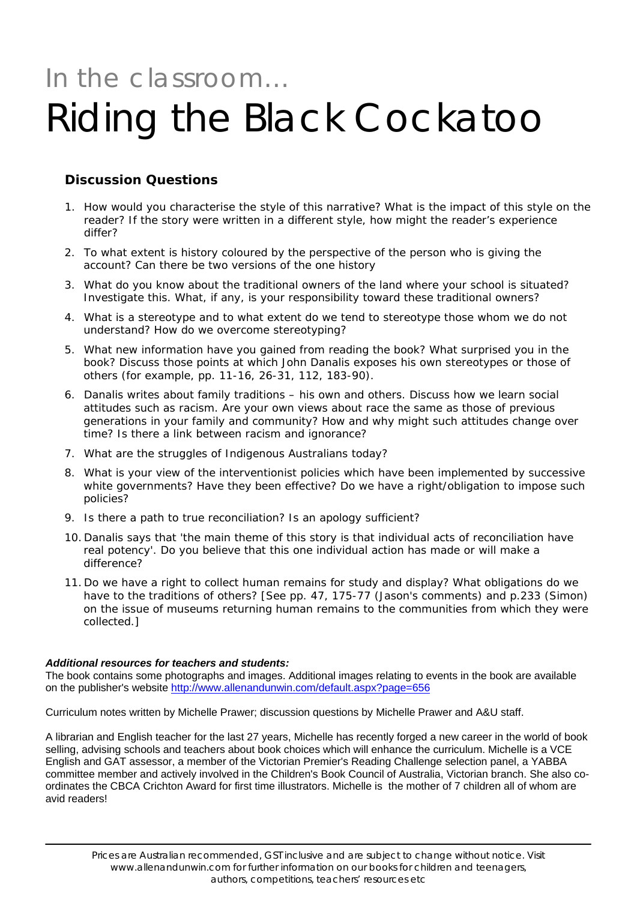## In the classroom… Riding the Black Cockatoo

### **Discussion Questions**

- 1. How would you characterise the style of this narrative? What is the impact of this style on the reader? If the story were written in a different style, how might the reader's experience differ?
- 2. To what extent is history coloured by the perspective of the person who is giving the account? Can there be two versions of the one history
- 3. What do you know about the traditional owners of the land where your school is situated? Investigate this. What, if any, is your responsibility toward these traditional owners?
- 4. What is a stereotype and to what extent do we tend to stereotype those whom we do not understand? How do we overcome stereotyping?
- 5. What new information have you gained from reading the book? What surprised you in the book? Discuss those points at which John Danalis exposes his own stereotypes or those of others (for example, pp. 11-16, 26-31, 112, 183-90).
- 6. Danalis writes about family traditions his own and others. Discuss how we learn social attitudes such as racism. Are your own views about race the same as those of previous generations in your family and community? How and why might such attitudes change over time? Is there a link between racism and ignorance?
- 7. What are the struggles of Indigenous Australians today?
- 8. What is your view of the interventionist policies which have been implemented by successive white governments? Have they been effective? Do we have a right/obligation to impose such policies?
- 9. Is there a path to true reconciliation? Is an apology sufficient?
- 10. Danalis says that 'the main theme of this story is that individual acts of reconciliation have real potency'. Do you believe that this one individual action has made or will make a difference?
- 11. Do we have a right to collect human remains for study and display? What obligations do we have to the traditions of others? [See pp. 47, 175-77 (Jason's comments) and p.233 (Simon) on the issue of museums returning human remains to the communities from which they were collected.]

#### *Additional resources for teachers and students:*

The book contains some photographs and images. Additional images relating to events in the book are available on the publisher's website<http://www.allenandunwin.com/default.aspx?page=656>

Curriculum notes written by Michelle Prawer; discussion questions by Michelle Prawer and A&U staff.

A librarian and English teacher for the last 27 years, Michelle has recently forged a new career in the world of book selling, advising schools and teachers about book choices which will enhance the curriculum. Michelle is a VCE English and GAT assessor, a member of the Victorian Premier's Reading Challenge selection panel, a YABBA committee member and actively involved in the Children's Book Council of Australia, Victorian branch. She also coordinates the CBCA Crichton Award for first time illustrators. Michelle is the mother of 7 children all of whom are avid readers!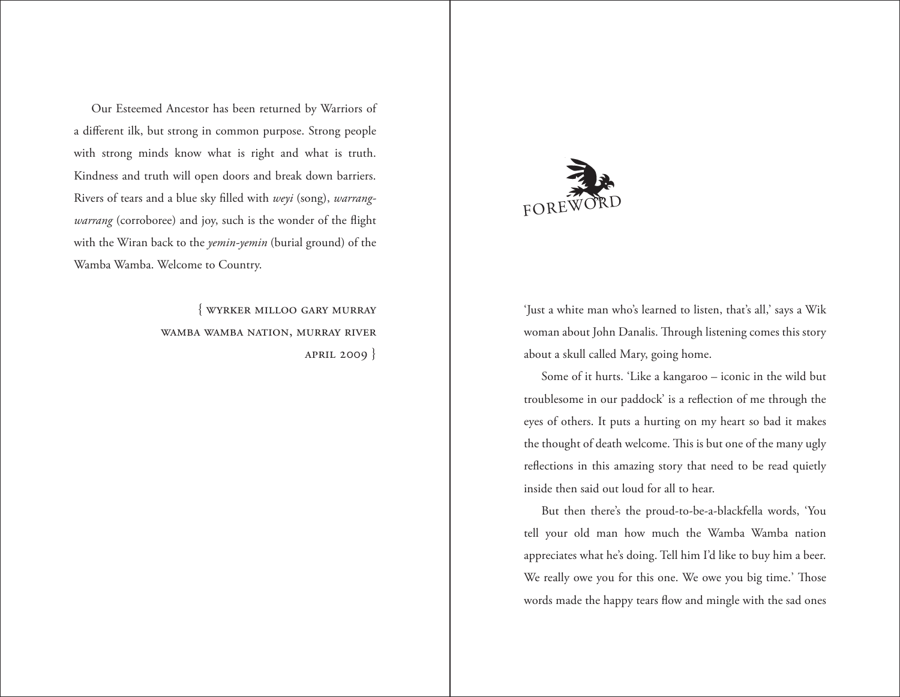

'Just a white man who's learned to listen, that's all,' says a Wik woman about John Danalis. Through listening comes this story about a skull called Mary, going home.

Some of it hurts. 'Like a kangaroo – iconic in the wild but troublesome in our paddock' is a reflection of me through the eyes of others. It puts a hurting on my heart so bad it makes the thought of death welcome. This is but one of the many ugly reflections in this amazing story that need to be read quietly inside then said out loud for all to hear.

But then there's the proud-to-be-a-blackfella words, 'You tell your old man how much the Wamba Wamba nation appreciates what he's doing. Tell him I'd like to buy him a beer. We really owe you for this one. We owe you big time.' Those words made the happy tears flow and mingle with the sad ones